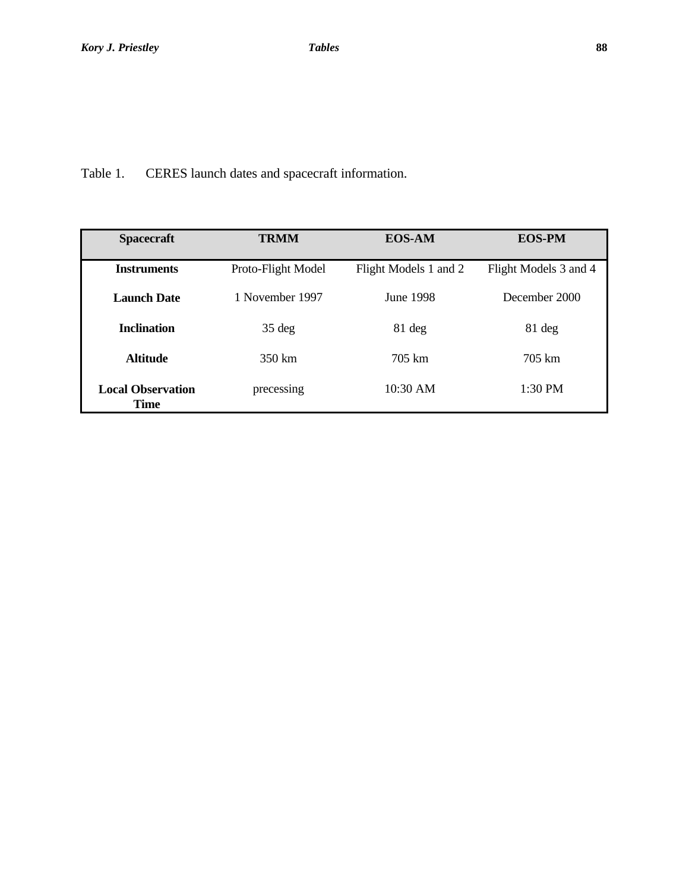Table 1. CERES launch dates and spacecraft information.

| <b>Spacecraft</b>                       | <b>TRMM</b>        | <b>EOS-AM</b>         | <b>EOS-PM</b>         |
|-----------------------------------------|--------------------|-----------------------|-----------------------|
| <b>Instruments</b>                      | Proto-Flight Model | Flight Models 1 and 2 | Flight Models 3 and 4 |
| <b>Launch Date</b>                      | 1 November 1997    | June 1998             | December 2000         |
| <b>Inclination</b>                      | $35 \deg$          | $81 \deg$             | 81 deg                |
| <b>Altitude</b>                         | 350 km             | 705 km                | 705 km                |
| <b>Local Observation</b><br><b>Time</b> | precessing         | $10:30$ AM            | $1:30$ PM             |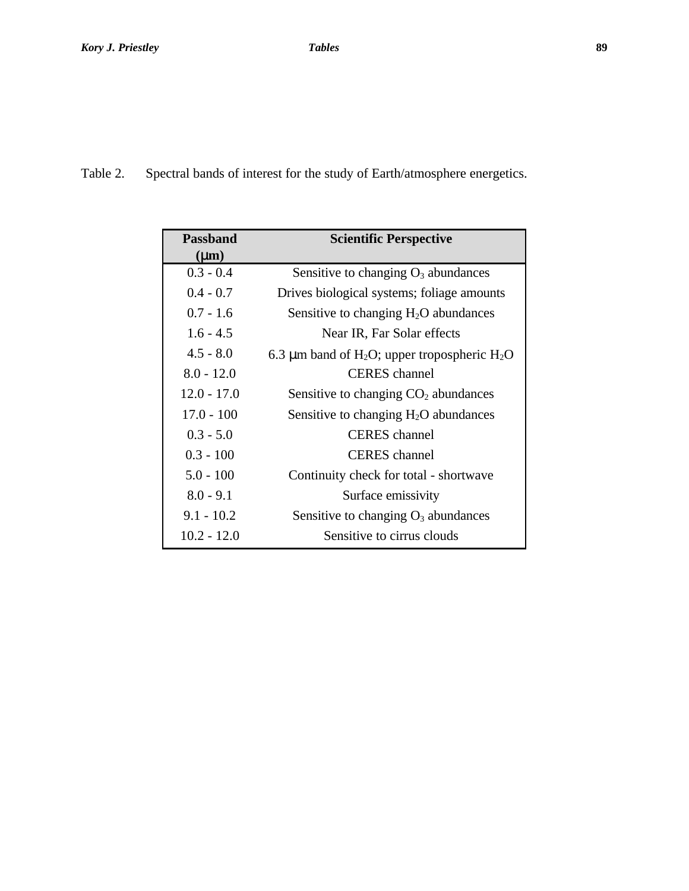Table 2. Spectral bands of interest for the study of Earth/atmosphere energetics.

| Passband      | <b>Scientific Perspective</b>                                        |  |
|---------------|----------------------------------------------------------------------|--|
| $(\mu m)$     |                                                                      |  |
| $0.3 - 0.4$   | Sensitive to changing $O_3$ abundances                               |  |
| $0.4 - 0.7$   | Drives biological systems; foliage amounts                           |  |
| $0.7 - 1.6$   | Sensitive to changing $H_2O$ abundances                              |  |
| $1.6 - 4.5$   | Near IR, Far Solar effects                                           |  |
| $4.5 - 8.0$   | 6.3 µm band of H <sub>2</sub> O; upper tropospheric H <sub>2</sub> O |  |
| $8.0 - 12.0$  | <b>CERES</b> channel                                                 |  |
| $12.0 - 17.0$ | Sensitive to changing $CO2$ abundances                               |  |
| $17.0 - 100$  | Sensitive to changing $H_2O$ abundances                              |  |
| $0.3 - 5.0$   | <b>CERES</b> channel                                                 |  |
| $0.3 - 100$   | <b>CERES</b> channel                                                 |  |
| $5.0 - 100$   | Continuity check for total - shortwave                               |  |
| $8.0 - 9.1$   | Surface emissivity                                                   |  |
| $9.1 - 10.2$  | Sensitive to changing $O_3$ abundances                               |  |
| $10.2 - 12.0$ | Sensitive to cirrus clouds                                           |  |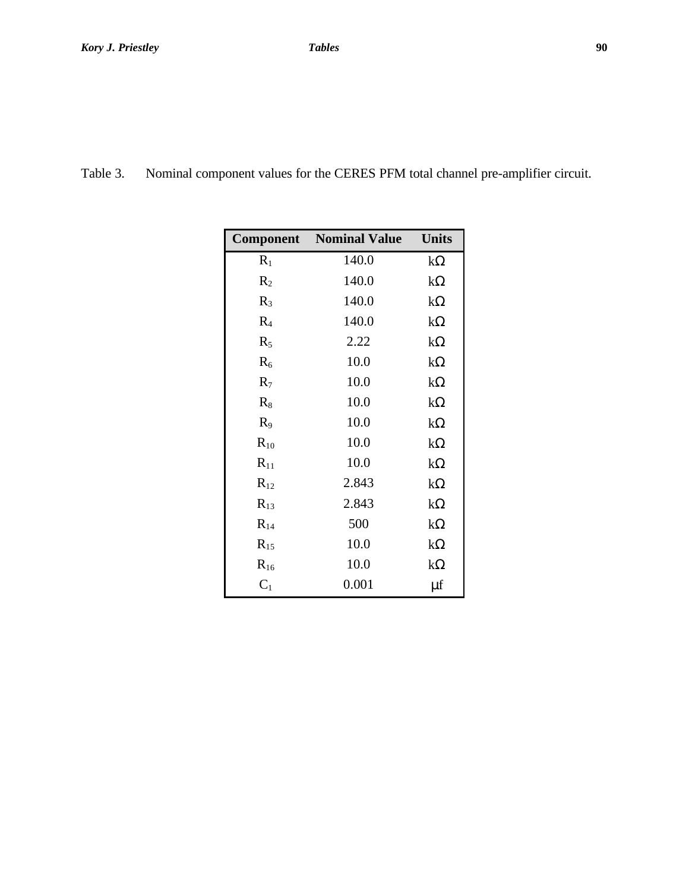| Table 3.<br>Nominal component values for the CERES PFM total channel pre-amplifier circuit. |  |  |
|---------------------------------------------------------------------------------------------|--|--|
|---------------------------------------------------------------------------------------------|--|--|

|                | <b>Component</b> Nominal Value | <b>Units</b> |
|----------------|--------------------------------|--------------|
| $R_1$          | 140.0                          | $k\Omega$    |
| $R_{2}$        | 140.0                          | $k\Omega$    |
| $R_3$          | 140.0                          | $k\Omega$    |
| R <sub>4</sub> | 140.0                          | $k\Omega$    |
| $R_5$          | 2.22                           | $k\Omega$    |
| $R_6$          | 10.0                           | $k\Omega$    |
| $R_7$          | 10.0                           | $k\Omega$    |
| $R_8$          | 10.0                           | $k\Omega$    |
| $R_9$          | 10.0                           | $k\Omega$    |
| $R_{10}$       | 10.0                           | $k\Omega$    |
| $R_{11}$       | 10.0                           | $k\Omega$    |
| $R_{12}$       | 2.843                          | $k\Omega$    |
| $R_{13}$       | 2.843                          | $k\Omega$    |
| $R_{14}$       | 500                            | $k\Omega$    |
| $R_{15}$       | 10.0                           | $k\Omega$    |
| $R_{16}$       | 10.0                           | $k\Omega$    |
| $C_1$          | 0.001                          | μf           |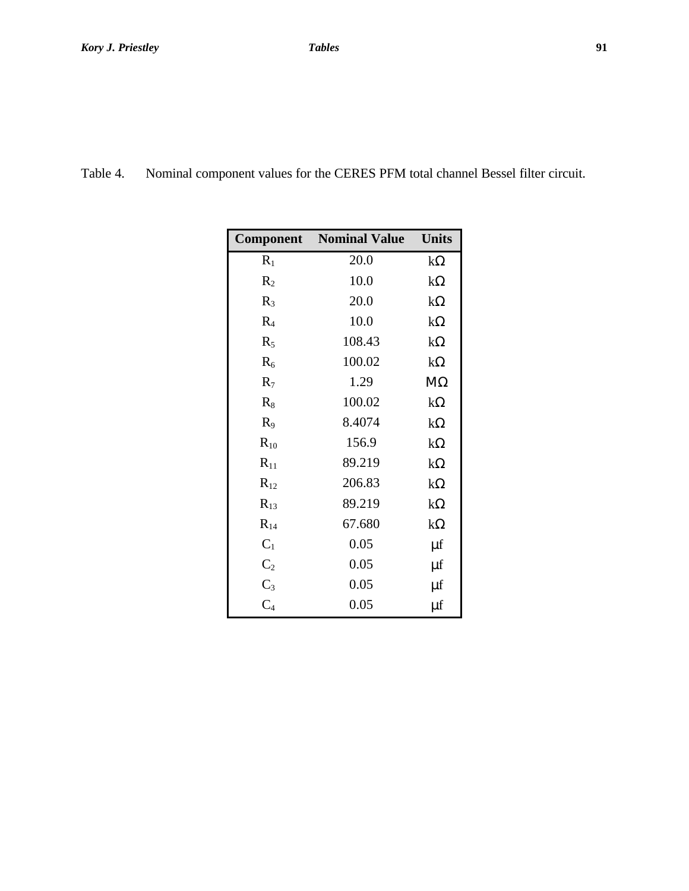| Table 4. | Nominal component values for the CERES PFM total channel Bessel filter circuit. |  |  |  |  |
|----------|---------------------------------------------------------------------------------|--|--|--|--|
|----------|---------------------------------------------------------------------------------|--|--|--|--|

| Component      | <b>Nominal Value</b> | <b>Units</b> |
|----------------|----------------------|--------------|
| $R_1$          | 20.0                 | $k\Omega$    |
| R <sub>2</sub> | 10.0                 | $k\Omega$    |
| $R_3$          | 20.0                 | $k\Omega$    |
| R <sub>4</sub> | 10.0                 | $k\Omega$    |
| $R_5$          | 108.43               | $k\Omega$    |
| $R_6$          | 100.02               | $k\Omega$    |
| $R_7$          | 1.29                 | $M\Omega$    |
| $R_8$          | 100.02               | $k\Omega$    |
| $R_9$          | 8.4074               | $k\Omega$    |
| $R_{10}$       | 156.9                | $k\Omega$    |
| $R_{11}$       | 89.219               | $k\Omega$    |
| $R_{12}$       | 206.83               | $k\Omega$    |
| $R_{13}$       | 89.219               | $k\Omega$    |
| $R_{14}$       | 67.680               | $k\Omega$    |
| $C_1$          | 0.05                 | μf           |
| $C_2$          | 0.05                 | μf           |
| $C_3$          | 0.05                 | μf           |
| $C_4$          | 0.05                 | μf           |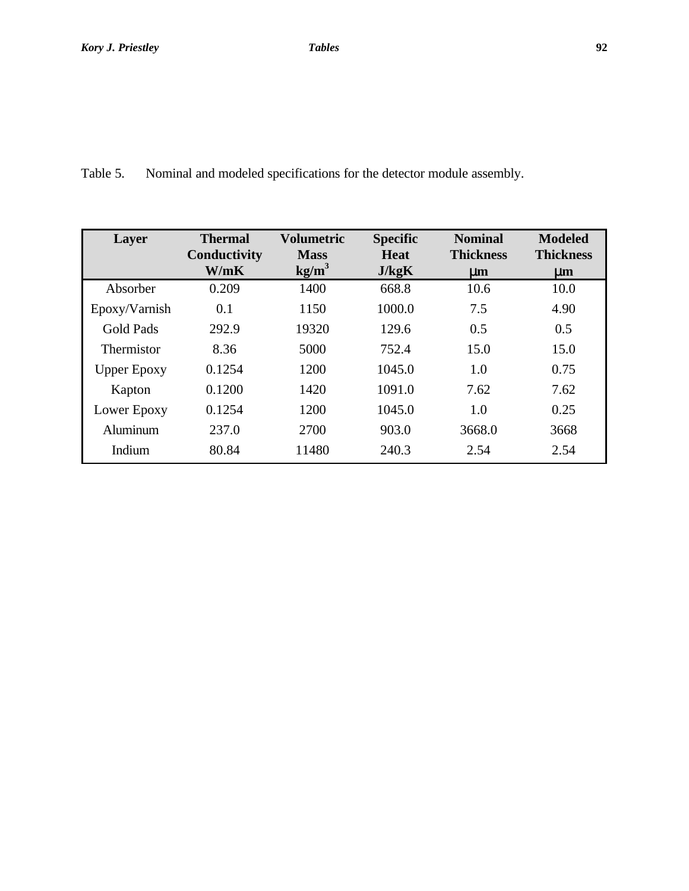Table 5. Nominal and modeled specifications for the detector module assembly.

| Layer              | <b>Thermal</b><br>Conductivity | Volumetric<br><b>Mass</b> | <b>Specific</b><br><b>Heat</b> | <b>Nominal</b><br><b>Thickness</b> | <b>Modeled</b><br><b>Thickness</b> |
|--------------------|--------------------------------|---------------------------|--------------------------------|------------------------------------|------------------------------------|
|                    | W/mK                           | kg/m <sup>3</sup>         | J/kgK                          | $\mu$ m                            | $\mu$ m                            |
| Absorber           | 0.209                          | 1400                      | 668.8                          | 10.6                               | 10.0                               |
| Epoxy/Varnish      | 0.1                            | 1150                      | 1000.0                         | 7.5                                | 4.90                               |
| <b>Gold Pads</b>   | 292.9                          | 19320                     | 129.6                          | 0.5                                | 0.5                                |
| <b>Thermistor</b>  | 8.36                           | 5000                      | 752.4                          | 15.0                               | 15.0                               |
| <b>Upper Epoxy</b> | 0.1254                         | 1200                      | 1045.0                         | 1.0                                | 0.75                               |
| Kapton             | 0.1200                         | 1420                      | 1091.0                         | 7.62                               | 7.62                               |
| Lower Epoxy        | 0.1254                         | 1200                      | 1045.0                         | 1.0                                | 0.25                               |
| Aluminum           | 237.0                          | 2700                      | 903.0                          | 3668.0                             | 3668                               |
| Indium             | 80.84                          | 11480                     | 240.3                          | 2.54                               | 2.54                               |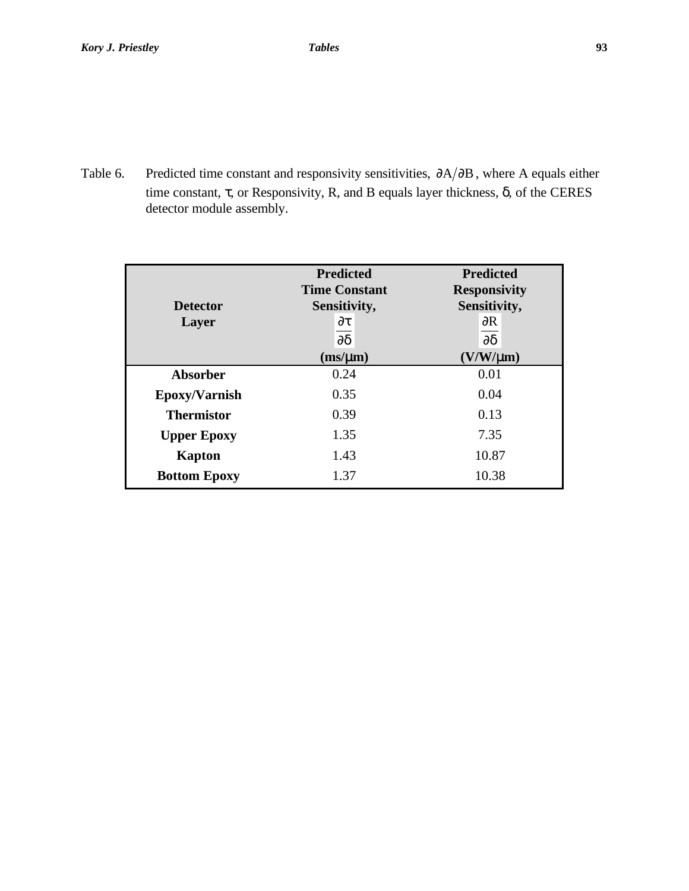Table 6. Predicted time constant and responsivity sensitivities,  $\partial A/\partial B$ , where A equals either time constant,  $\tau$ , or Responsivity, R, and B equals layer thickness,  $\delta$ , of the CERES detector module assembly.

| <b>Detector</b><br>Layer | <b>Predicted</b><br><b>Time Constant</b><br>Sensitivity,<br>$\partial \tau$<br>$\partial \delta$<br>$(m\text{s}/\mu\text{m})$ | <b>Predicted</b><br><b>Responsivity</b><br>Sensitivity,<br>$\partial R$<br>$\partial \delta$<br>$(V/W/\mu m)$ |
|--------------------------|-------------------------------------------------------------------------------------------------------------------------------|---------------------------------------------------------------------------------------------------------------|
| <b>Absorber</b>          | 0.24                                                                                                                          | 0.01                                                                                                          |
| Epoxy/Varnish            | 0.35                                                                                                                          | 0.04                                                                                                          |
| <b>Thermistor</b>        | 0.39                                                                                                                          | 0.13                                                                                                          |
| <b>Upper Epoxy</b>       | 1.35                                                                                                                          | 7.35                                                                                                          |
| <b>Kapton</b>            | 1.43                                                                                                                          | 10.87                                                                                                         |
| <b>Bottom Epoxy</b>      | 1.37                                                                                                                          | 10.38                                                                                                         |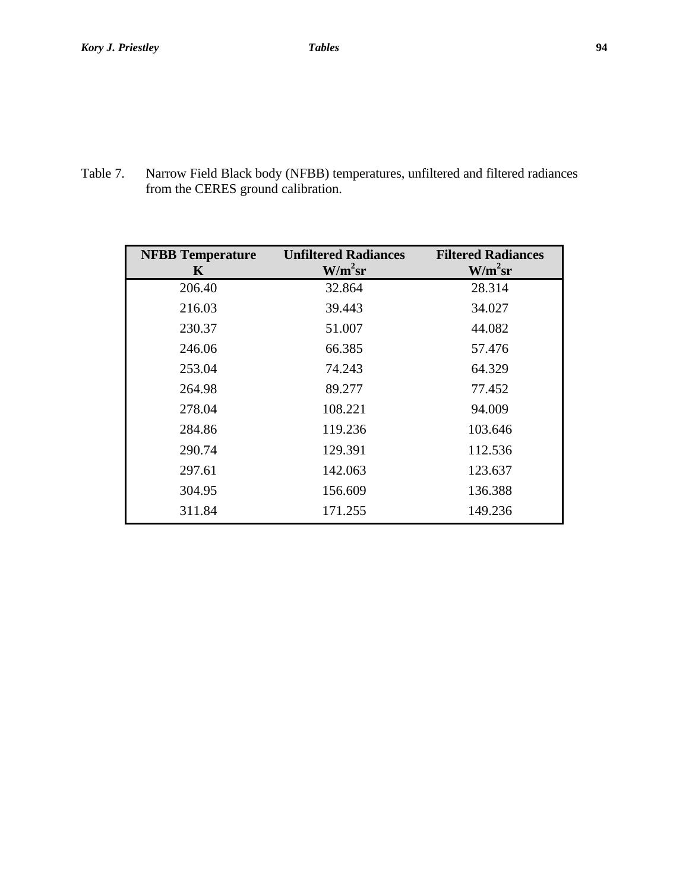Table 7. Narrow Field Black body (NFBB) temperatures, unfiltered and filtered radiances from the CERES ground calibration.

| <b>NFBB</b> Temperature<br>K | <b>Unfiltered Radiances</b><br>W/m <sup>2</sup> sr | <b>Filtered Radiances</b><br>W/m <sup>2</sup> sr |
|------------------------------|----------------------------------------------------|--------------------------------------------------|
| 206.40                       | 32.864                                             | 28.314                                           |
| 216.03                       | 39.443                                             | 34.027                                           |
| 230.37                       | 51.007                                             | 44.082                                           |
| 246.06                       | 66.385                                             | 57.476                                           |
| 253.04                       | 74.243                                             | 64.329                                           |
| 264.98                       | 89.277                                             | 77.452                                           |
| 278.04                       | 108.221                                            | 94.009                                           |
| 284.86                       | 119.236                                            | 103.646                                          |
| 290.74                       | 129.391                                            | 112.536                                          |
| 297.61                       | 142.063                                            | 123.637                                          |
| 304.95                       | 156.609                                            | 136.388                                          |
| 311.84                       | 171.255                                            | 149.236                                          |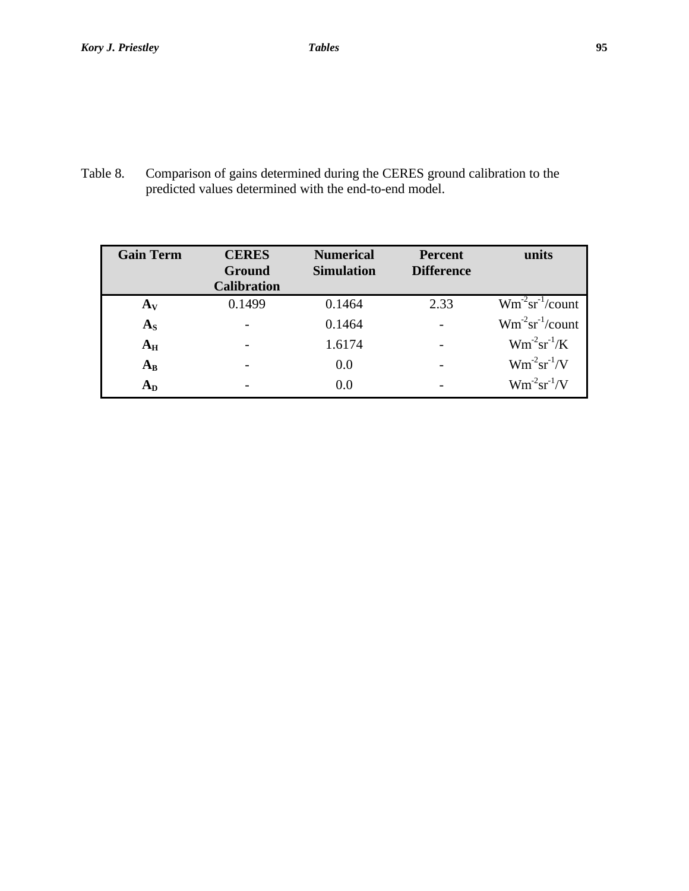Table 8. Comparison of gains determined during the CERES ground calibration to the predicted values determined with the end-to-end model.

| <b>Gain Term</b> | <b>CERES</b>       | <b>Numerical</b>  | <b>Percent</b>    | units              |
|------------------|--------------------|-------------------|-------------------|--------------------|
|                  | Ground             | <b>Simulation</b> | <b>Difference</b> |                    |
|                  | <b>Calibration</b> |                   |                   |                    |
| $A_V$            | 0.1499             | 0.1464            | 2.33              | $Wm-2sr-1/count$   |
| $A_{S}$          |                    | 0.1464            |                   | $Wm-2sr-1/count$   |
| $A_{H}$          |                    | 1.6174            |                   | $Wm^{-2}sr^{-1}/K$ |
| $A_B$            |                    | 0.0               |                   | $Wm^{-2}sr^{-1}/V$ |
| $A_D$            |                    | 0.0               |                   | $Wm^{-2}sr^{-1}/V$ |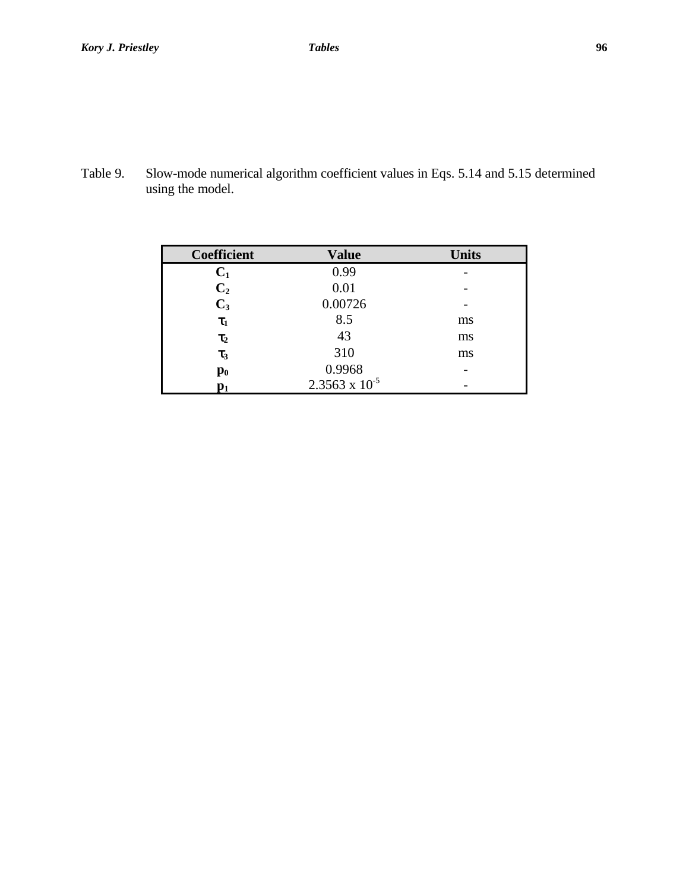Table 9. Slow-mode numerical algorithm coefficient values in Eqs. 5.14 and 5.15 determined using the model.

| <b>Coefficient</b> | <b>Value</b>            | <b>Units</b>             |
|--------------------|-------------------------|--------------------------|
| $C_1$              | 0.99                    |                          |
| C <sub>2</sub>     | 0.01                    |                          |
| $C_3$              | 0.00726                 |                          |
| $\tau_1$           | 8.5                     | ms                       |
| $\tau_2$           | 43                      | ms                       |
| $\tau_3$           | 310                     | ms                       |
| $\mathbf{p}_0$     | 0.9968                  | $\overline{\phantom{0}}$ |
| $\mathbf{p}_1$     | $2.3563 \times 10^{-5}$ |                          |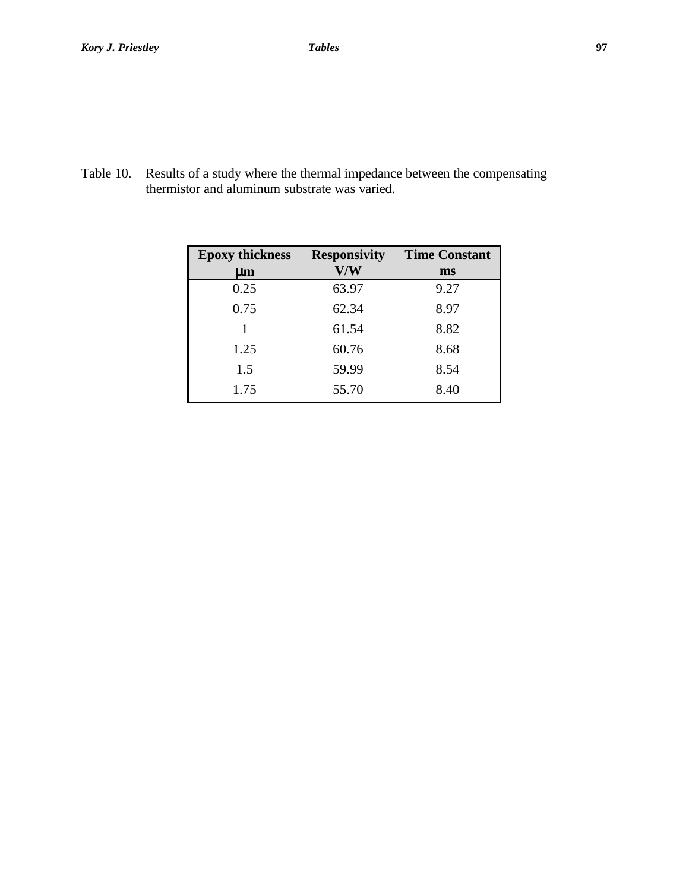Table 10. Results of a study where the thermal impedance between the compensating thermistor and aluminum substrate was varied.

| <b>Epoxy thickness</b> | <b>Responsivity</b> | <b>Time Constant</b> |
|------------------------|---------------------|----------------------|
| $\mathbf{µm}$          | V/W                 | ms                   |
| 0.25                   | 63.97               | 9.27                 |
| 0.75                   | 62.34               | 8.97                 |
| 1                      | 61.54               | 8.82                 |
| 1.25                   | 60.76               | 8.68                 |
| 1.5                    | 59.99               | 8.54                 |
| 1.75                   | 55.70               | 8.40                 |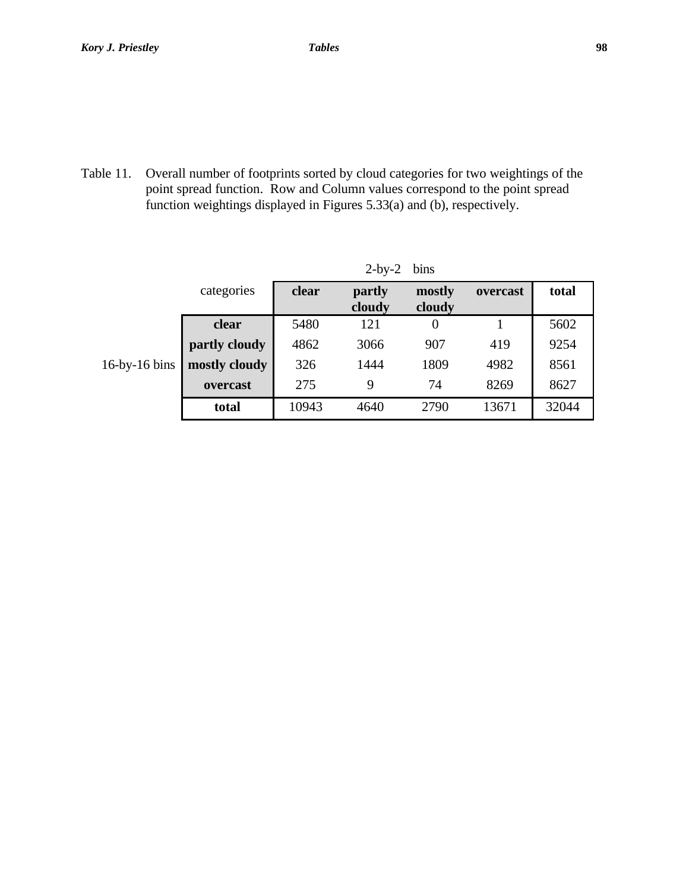Table 11. Overall number of footprints sorted by cloud categories for two weightings of the point spread function. Row and Column values correspond to the point spread function weightings displayed in Figures 5.33(a) and (b), respectively.

|                             | - - - -<br>$\mathbf{v}$ |       |                  |                  |          |       |
|-----------------------------|-------------------------|-------|------------------|------------------|----------|-------|
|                             | categories              | clear | partly<br>cloudy | mostly<br>cloudy | overcast | total |
|                             | clear                   | 5480  | 121              | $\theta$         |          | 5602  |
|                             | partly cloudy           | 4862  | 3066             | 907              | 419      | 9254  |
| $16$ -by- $16 \text{ bins}$ | mostly cloudy           | 326   | 1444             | 1809             | 4982     | 8561  |
|                             | overcast                | 275   | 9                | 74               | 8269     | 8627  |
|                             | total                   | 10943 | 4640             | 2790             | 13671    | 32044 |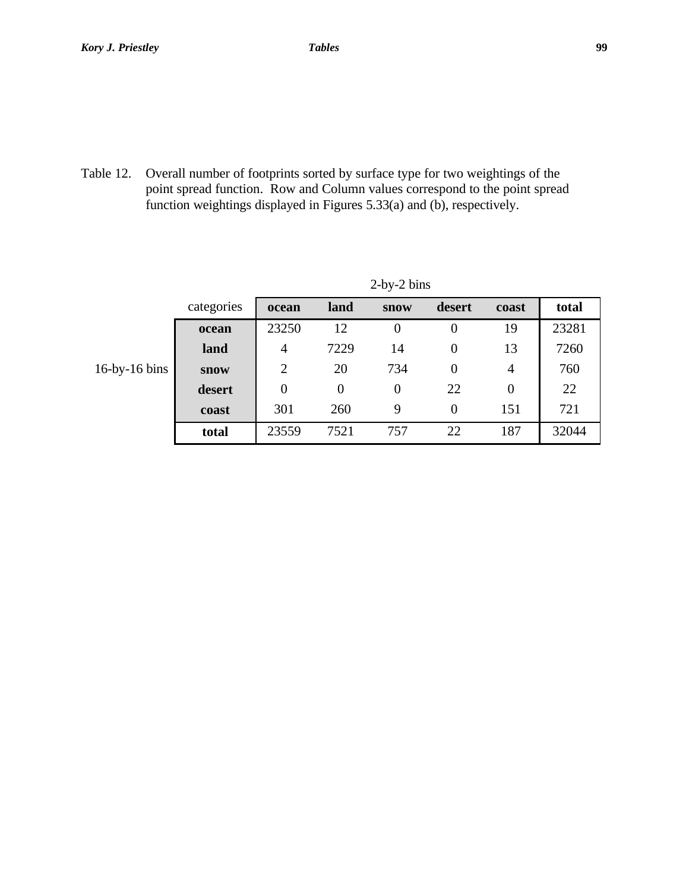Table 12. Overall number of footprints sorted by surface type for two weightings of the point spread function. Row and Column values correspond to the point spread function weightings displayed in Figures 5.33(a) and (b), respectively.

|                             | categories  | ocean          | land | <b>snow</b>    | desert | coast | total |  |
|-----------------------------|-------------|----------------|------|----------------|--------|-------|-------|--|
|                             | ocean       | 23250          | 12   | $\overline{0}$ | 0      | 19    | 23281 |  |
|                             | land        | 4              | 7229 | 14             | 0      | 13    | 7260  |  |
| $16$ -by- $16 \text{ bins}$ | <b>snow</b> | $\overline{2}$ | 20   | 734            | 0      | 4     | 760   |  |
|                             | desert      | $\overline{0}$ | 0    | $\overline{0}$ | 22     | 0     | 22    |  |
|                             | coast       | 301            | 260  | 9              | 0      | 151   | 721   |  |
|                             | total       | 23559          | 7521 | 757            | 22     | 187   | 32044 |  |
|                             |             |                |      |                |        |       |       |  |

2-by-2 bins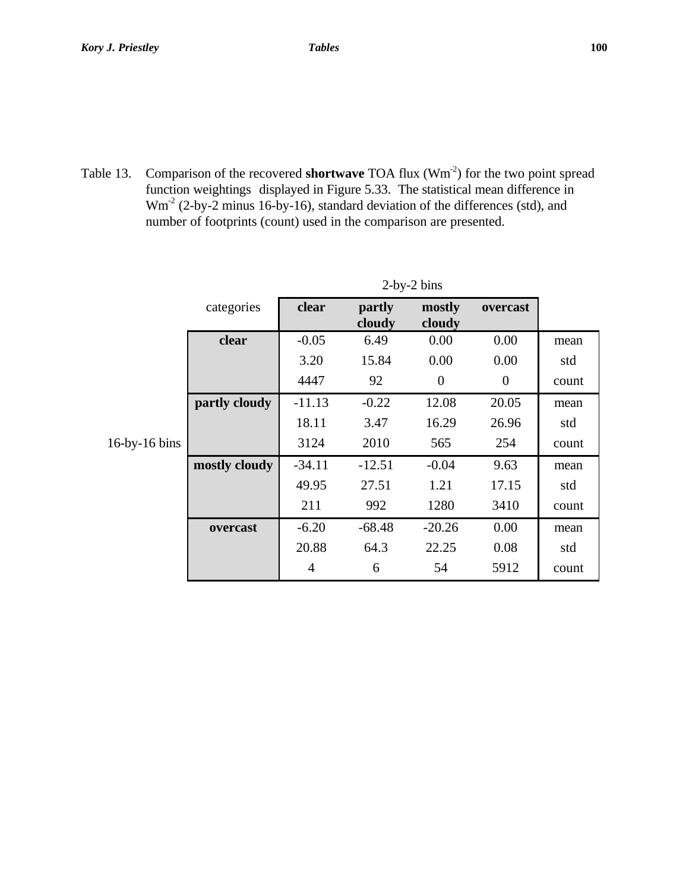Table 13. Comparison of the recovered **shortwave** TOA flux (Wm<sup>-2</sup>) for the two point spread function weightings displayed in Figure 5.33. The statistical mean difference in Wm-2 (2-by-2 minus 16-by-16), standard deviation of the differences (std), and number of footprints (count) used in the comparison are presented.

|                             | categories    | clear          | partly<br>cloudy | mostly<br>cloudy | overcast         |       |
|-----------------------------|---------------|----------------|------------------|------------------|------------------|-------|
|                             | clear         | $-0.05$        | 6.49             | 0.00             | 0.00             | mean  |
|                             |               | 3.20           | 15.84            | 0.00             | 0.00             | std   |
|                             |               | 4447           | 92               | $\theta$         | $\boldsymbol{0}$ | count |
|                             | partly cloudy | $-11.13$       | $-0.22$          | 12.08            | 20.05            | mean  |
|                             |               | 18.11          | 3.47             | 16.29            | 26.96            | std   |
| $16$ -by- $16 \text{ bins}$ |               | 3124           | 2010             | 565              | 254              | count |
|                             | mostly cloudy | $-34.11$       | $-12.51$         | $-0.04$          | 9.63             | mean  |
|                             |               | 49.95          | 27.51            | 1.21             | 17.15            | std   |
|                             |               | 211            | 992              | 1280             | 3410             | count |
|                             | overcast      | $-6.20$        | $-68.48$         | $-20.26$         | 0.00             | mean  |
|                             |               | 20.88          | 64.3             | 22.25            | 0.08             | std   |
|                             |               | $\overline{4}$ | 6                | 54               | 5912             | count |

 $2-hv^2$  bins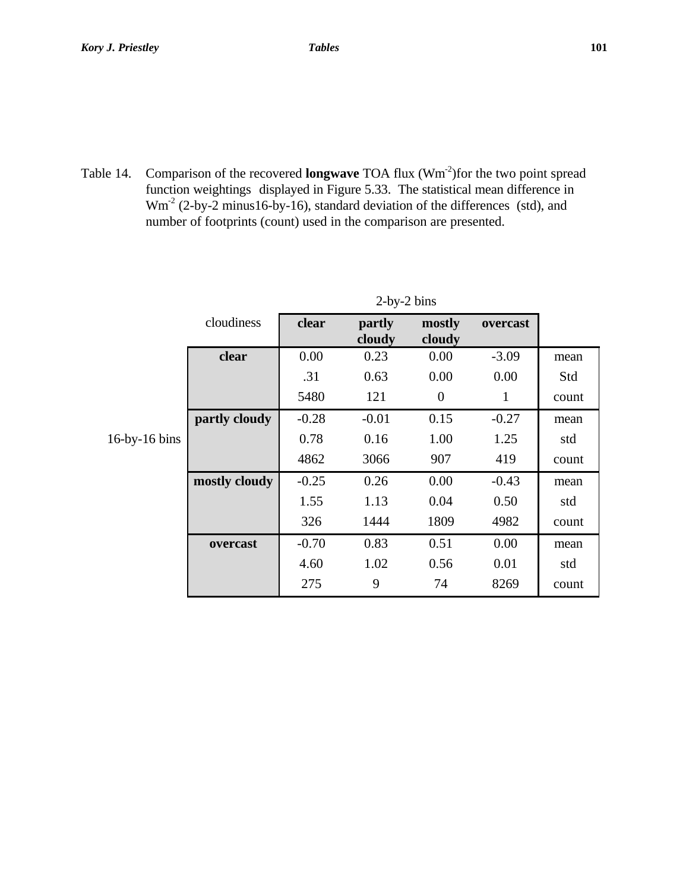Table 14. Comparison of the recovered **longwave** TOA flux (Wm<sup>-2</sup>)for the two point spread function weightings displayed in Figure 5.33. The statistical mean difference in Wm<sup>-2</sup> (2-by-2 minus16-by-16), standard deviation of the differences (std), and number of footprints (count) used in the comparison are presented.

|                             | cloudiness    | clear   | partly<br>cloudy | mostly<br>cloudy | overcast |       |
|-----------------------------|---------------|---------|------------------|------------------|----------|-------|
|                             | clear         | 0.00    | 0.23             | 0.00             | $-3.09$  | mean  |
|                             |               | .31     | 0.63             | 0.00             | 0.00     | Std   |
|                             |               | 5480    | 121              | $\overline{0}$   | 1        | count |
|                             | partly cloudy | $-0.28$ | $-0.01$          | 0.15             | $-0.27$  | mean  |
| $16$ -by- $16 \text{ bins}$ |               | 0.78    | 0.16             | 1.00             | 1.25     | std   |
|                             |               | 4862    | 3066             | 907              | 419      | count |
|                             | mostly cloudy | $-0.25$ | 0.26             | 0.00             | $-0.43$  | mean  |
|                             |               | 1.55    | 1.13             | 0.04             | 0.50     | std   |
|                             |               | 326     | 1444             | 1809             | 4982     | count |
|                             | overcast      | $-0.70$ | 0.83             | 0.51             | 0.00     | mean  |
|                             |               | 4.60    | 1.02             | 0.56             | 0.01     | std   |
|                             |               | 275     | 9                | 74               | 8269     | count |